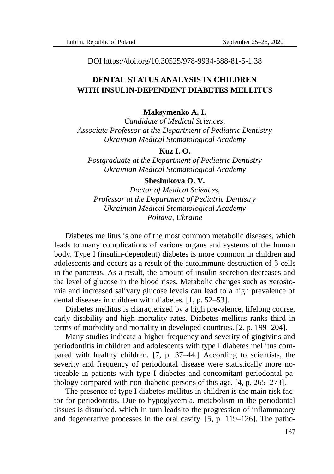DOI https://doi.org/10.30525/978-9934-588-81-5-1.38

## **DENTAL STATUS ANALYSIS IN CHILDREN WITH INSULIN-DEPENDENT DIABETES MELLITUS**

#### **Maksymenko A. I.**

*Candidate of Medical Sciences, Associate Professor at the Department of Pediatric Dentistry Ukrainian Medical Stomatological Academy*

## **Kuz I. O.**

*Postgraduate at the Department of Pediatric Dentistry Ukrainian Medical Stomatological Academy*

## **Sheshukova O. V.**

*Doctor of Medical Sciences, Professor at the Department of Pediatric Dentistry Ukrainian Medical Stomatological Academy Poltava, Ukraine*

Diabetes mellitus is one of the most common metabolic diseases, which leads to many complications of various organs and systems of the human body. Type I (insulin-dependent) diabetes is more common in children and adolescents and occurs as a result of the autoimmune destruction of β-cells in the pancreas. As a result, the amount of insulin secretion decreases and the level of glucose in the blood rises. Metabolic changes such as xerostomia and increased salivary glucose levels can lead to a high prevalence of dental diseases in children with diabetes. [1, p. 52–53].

Diabetes mellitus is characterized by a high prevalence, lifelong course, early disability and high mortality rates. Diabetes mellitus ranks third in terms of morbidity and mortality in developed countries. [2, p. 199–204].

Many studies indicate a higher frequency and severity of gingivitis and periodontitis in children and adolescents with type I diabetes mellitus compared with healthy children. [7, p. 37–44.] According to scientists, the severity and frequency of periodontal disease were statistically more noticeable in patients with type I diabetes and concomitant periodontal pathology compared with non-diabetic persons of this age. [4, p. 265–273].

The presence of type I diabetes mellitus in children is the main risk factor for periodontitis. Due to hypoglycemia, metabolism in the periodontal tissues is disturbed, which in turn leads to the progression of inflammatory and degenerative processes in the oral cavity. [5, p. 119–126]. The patho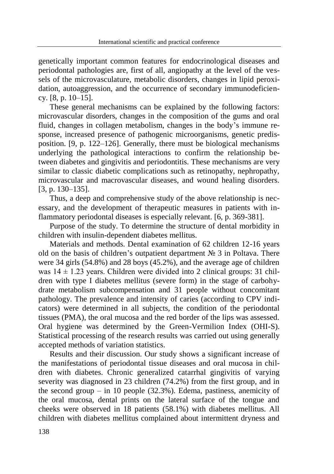genetically important common features for endocrinological diseases and periodontal pathologies are, first of all, angiopathy at the level of the vessels of the microvasculature, metabolic disorders, changes in lipid peroxidation, autoaggression, and the occurrence of secondary immunodeficiency. [8, p. 10–15].

These general mechanisms can be explained by the following factors: microvascular disorders, changes in the composition of the gums and oral fluid, changes in collagen metabolism, changes in the body's immune response, increased presence of pathogenic microorganisms, genetic predisposition. [9, p. 122–126]. Generally, there must be biological mechanisms underlying the pathological interactions to confirm the relationship between diabetes and gingivitis and periodontitis. These mechanisms are very similar to classic diabetic complications such as retinopathy, nephropathy, microvascular and macrovascular diseases, and wound healing disorders. [3, p. 130–135].

Thus, a deep and comprehensive study of the above relationship is necessary, and the development of therapeutic measures in patients with inflammatory periodontal diseases is especially relevant. [6, p. 369-381].

Purpose of the study. To determine the structure of dental morbidity in children with insulin-dependent diabetes mellitus.

Materials and methods. Dental examination of 62 children 12-16 years old on the basis of children's outpatient department № 3 in Poltava. There were 34 girls (54.8%) and 28 boys (45.2%), and the average age of children was  $14 \pm 1.23$  years. Children were divided into 2 clinical groups: 31 children with type I diabetes mellitus (severe form) in the stage of carbohydrate metabolism subcompensation and 31 people without concomitant pathology. The prevalence and intensity of caries (according to CPV indicators) were determined in all subjects, the condition of the periodontal tissues (PMA), the oral mucosa and the red border of the lips was assessed. Oral hygiene was determined by the Green-Vermilion Index (OHI-S). Statistical processing of the research results was carried out using generally accepted methods of variation statistics.

Results and their discussion. Our study shows a significant increase of the manifestations of periodontal tissue diseases and oral mucosa in children with diabetes. Chronic generalized catarrhal gingivitis of varying severity was diagnosed in 23 children (74.2%) from the first group, and in the second group – in 10 people  $(32.3\%)$ . Edema, pastiness, anemicity of the oral mucosa, dental prints on the lateral surface of the tongue and cheeks were observed in 18 patients (58.1%) with diabetes mellitus. All children with diabetes mellitus complained about intermittent dryness and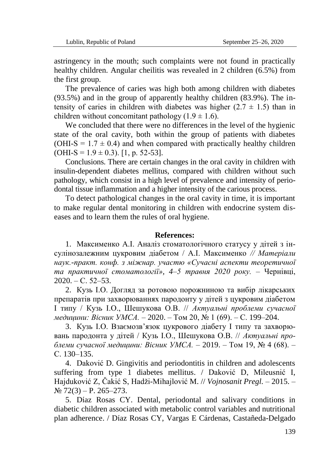astringency in the mouth; such complaints were not found in practically healthy children. Angular cheilitis was revealed in 2 children (6.5%) from the first group.

The prevalence of caries was high both among children with diabetes (93.5%) and in the group of apparently healthy children (83.9%). The intensity of caries in children with diabetes was higher  $(2.7 \pm 1.5)$  than in children without concomitant pathology  $(1.9 \pm 1.6)$ .

We concluded that there were no differences in the level of the hygienic state of the oral cavity, both within the group of patients with diabetes (OHI-S =  $1.7 \pm 0.4$ ) and when compared with practically healthy children  $(OHI-S = 1.9 \pm 0.3)$ . [1, p. 52-53].

Conclusions. There are certain changes in the oral cavity in children with insulin-dependent diabetes mellitus, compared with children without such pathology, which consist in a high level of prevalence and intensity of periodontal tissue inflammation and a higher intensity of the carious process.

To detect pathological changes in the oral cavity in time, it is important to make regular dental monitoring in children with endocrine system diseases and to learn them the rules of oral hygiene.

#### **References:**

1. Максименко А.І. Аналіз стоматологічного статусу у дітей з інсулінозалежним цукровим діабетом / А.І. Максименко *// Матеріали наук.-практ. конф. з міжнар. участю «Сучасні аспекти теоретичної та практичної стоматології», 4*–*5 травня 2020 року.* – Чернівці,  $2020 - C. 52 - 53.$ 

2. Кузь І.О. Догляд за ротовою порожниною та вибір лікарських препаратів при захворюваннях пародонту у дітей з цукровим діабетом І типу / Кузь І.О., Шешукова О.В. // *Актуальні проблеми сучасної медицини: Вісник УМСА.* – 2020. – Том 20, № 1 (69). – С. 199–204.

3. Кузь І.О. Взаємозв'язок цукрового діабету І типу та захворювань пародонта у дітей / Кузь І.О., Шешукова О.В. // *Актуальні проблеми сучасної медицини: Вісник УМСА.* – 2019. – Том 19, № 4 (68). – С. 130–135.

4. Daković D. Gingivitis and periodontitis in children and adolescents suffering from type 1 diabetes mellitus. / Daković D, Mileusnić I, Hajduković Z, Čakić S, Hadži-Mihajlović M. // *Vojnosanit Pregl.* – 2015. –  $N_{2}$  72(3) – P. 265–273.

5. Díaz Rosas CY. Dental, periodontal and salivary conditions in diabetic children associated with metabolic control variables and nutritional plan adherence. / Díaz Rosas CY, Vargas E Cárdenas, Castañeda-Delgado